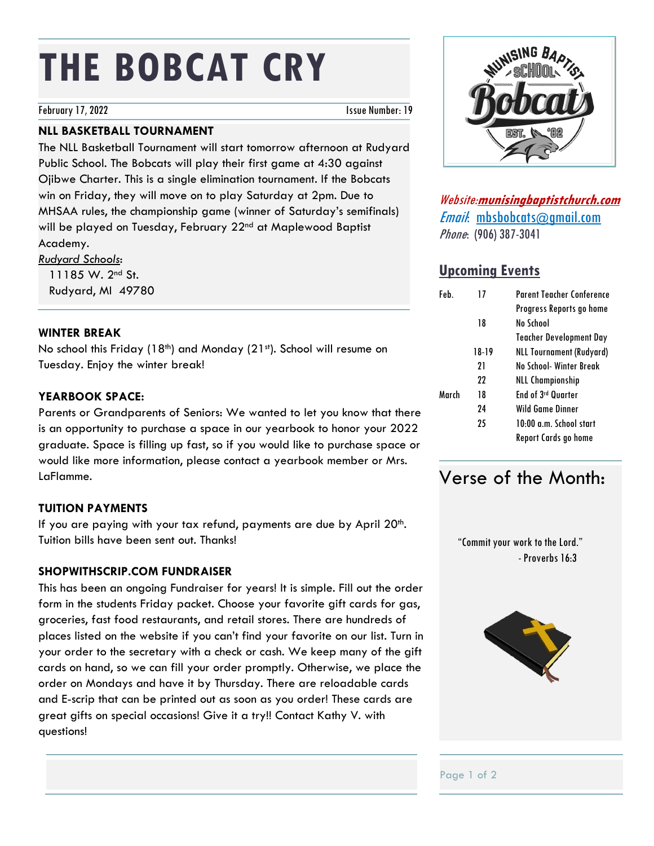# **THE BOBCAT CRY**

February 17, 2022 **Issue Number: 19** 

# **NLL BASKETBALL TOURNAMENT**

The NLL Basketball Tournament will start tomorrow afternoon at Rudyard Public School. The Bobcats will play their first game at 4:30 against Ojibwe Charter. This is a single elimination tournament. If the Bobcats win on Friday, they will move on to play Saturday at 2pm. Due to MHSAA rules, the championship game (winner of Saturday's semifinals) will be played on Tuesday, February 22<sup>nd</sup> at Maplewood Baptist Academy.

*Rudyard Schools*: 11185 W. 2nd St. Rudyard, MI 49780

### **WINTER BREAK**

No school this Friday (18<sup>th</sup>) and Monday (21<sup>st</sup>). School will resume on Tuesday. Enjoy the winter break!

# **YEARBOOK SPACE:**

Parents or Grandparents of Seniors: We wanted to let you know that there is an opportunity to purchase a space in our yearbook to honor your 2022 graduate. Space is filling up fast, so if you would like to purchase space or would like more information, please contact a yearbook member or Mrs. LaFlamme.

# **TUITION PAYMENTS**

If you are paying with your tax refund, payments are due by April  $20<sup>th</sup>$ . Tuition bills have been sent out. Thanks!

# **SHOPWITHSCRIP.COM FUNDRAISER**

This has been an ongoing Fundraiser for years! It is simple. Fill out the order form in the students Friday packet. Choose your favorite gift cards for gas, groceries, fast food restaurants, and retail stores. There are hundreds of places listed on the website if you can't find your favorite on our list. Turn in your order to the secretary with a check or cash. We keep many of the gift cards on hand, so we can fill your order promptly. Otherwise, we place the order on Mondays and have it by Thursday. There are reloadable cards and E-scrip that can be printed out as soon as you order! These cards are great gifts on special occasions! Give it a try!! Contact Kathy V. with questions!



Website:**munisingbaptistchurch.com** Email: mbsbobcats@gmail.com Phone: (906) 387-3041

# **Upcoming Events**

| Feb.  | 17    | Parent Teacher Conference       |
|-------|-------|---------------------------------|
|       |       | Progress Reports go home        |
|       | 18    | No School                       |
|       |       | <b>Teacher Development Day</b>  |
|       | 18-19 | <b>NLL Tournament (Rudyard)</b> |
|       | 21    | No School- Winter Break         |
|       | 22    | <b>NLL Championship</b>         |
| March | 18    | End of 3rd Quarter              |
|       | 24    | Wild Game Dinner                |
|       | 25    | 10:00 a.m. School start         |
|       |       | Report Cards go home            |

# Verse of the Month:

 "Commit your work to the Lord." -Proverbs 16:3